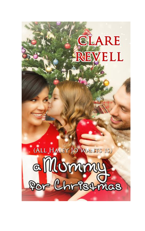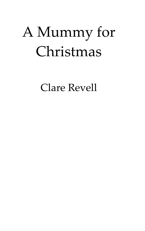# A Mummy for Christmas

Clare Revell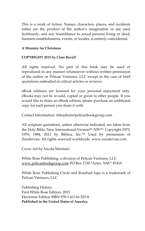This is a work of fiction. Names, characters, places, and incidents either are the product of the author's imagination or are used fictitiously, and any resemblance to actual persons living or dead, business establishments, events, or locales, is entirely coincidental.

#### **A Mummy for Christmas**

#### **COPYRIGHT 2015 by Clare Revell**

All rights reserved. No part of this book may be used or reproduced in any manner whatsoever without written permission of the author or Pelican Ventures, LLC except in the case of brief quotations embodied in critical articles or reviews.

eBook editions are licensed for your personal enjoyment only. eBooks may not be re-sold, copied or given to other people. If you would like to share an eBook edition, please purchase an additional copy for each person you share it with.

Contact Information: titleadmin@pelicanbookgroup.com

All scripture quotations, unless otherwise indicated, are taken from the Holy Bible, New International Version<sup>(R),</sup> NIV<sup>(R),</sup> Copyright 1973, 1978, 1984, 2011 by Biblica, Inc.™ Used by permission of Zondervan. All rights reserved worldwide. www.zondervan.com

Cover Art by Nicola Martinez

White Rose Publishing, a division of Pelican Ventures, LLC [www.pelicanbookgroup.com](http://www.pelicanbookgroup.com/) PO Box 1738 \*Aztec, NM \* 87410

White Rose Publishing Circle and Rosebud logo is a trademark of Pelican Ventures, LLC

Publishing History First White Rose Edition, 2015 Electronic Edition ISBN 978-1-61116-525-8 **Published in the United States of America**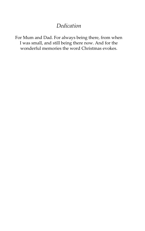# *Dedication*

For Mum and Dad. For always being there, from when I was small, and still being there now. And for the wonderful memories the word Christmas evokes.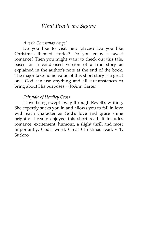# *What People are Saying*

### *Aussie Christmas Angel*

Do you like to visit new places? Do you like Christmas themed stories? Do you enjoy a sweet romance? Then you might want to check out this tale, based on a condensed version of a true story as explained in the author's note at the end of the book. The major take-home value of this short story is a great one! God can use anything and all circumstances to bring about His purposes. ~ JoAnn Carter

## *Fairytale of Headley Cross*

I love being swept away through Revell's writing. She expertly sucks you in and allows you to fall in love with each character as God's love and grace shine brightly. I really enjoyed this short read. It includes romance, excitement, humour, a slight thrill and most importantly, God's word. Great Christmas read. ~ T. Suckoo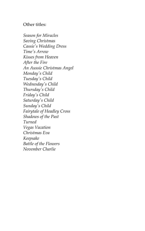# Other titles:

*Season for Miracles Saving Christmas Cassie's Wedding Dress Time's Arrow Kisses from Heaven After the Fire An Aussie Christmas Angel Monday's Child Tuesday's Child Wednesday's Child Thursday's Child Friday's Child Saturday's Child Sunday's Child Fairytale of Headley Cross Shadows of the Past Turned Vegas Vacation Christmas Eva Keepsake Battle of the Flowers November Charlie*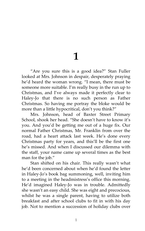# **1**

"Are you sure this is a good idea?" Stan Fuller looked at Mrs. Johnson in despair, desperately praying he'd heard the woman wrong. 'I mean, there must be someone more suitable. I'm really busy in the run up to Christmas, and I've always made it perfectly clear to Haley-Jo that there is no such person as Father Christmas. So having me portray the bloke would be more than a little hypocritical, don't you think?'

Mrs. Johnson, head of Baxter Street Primary School, shook her head. "She doesn't have to know it's you. And you'd be getting me out of a huge fix. Our normal Father Christmas, Mr. Franklin from over the road, had a heart attack last week. He's done every Christmas party for years, and this'll be the first one he's missed. And when I discussed our dilemma with the staff, your name came up several times as the best man for the job."

Stan shifted on his chair. This really wasn't what he'd been concerned about when he'd found the letter in Haley-Jo's book bag summoning, well, inviting him to a meeting in the headmistress's office this morning. He'd imagined Haley-Jo was in trouble. Admittedly she wasn't an easy child. She was eight and precocious, whilst he was a single parent, having to utilize both breakfast and after school clubs to fit in with his day job. Not to mention a succession of holiday clubs over

1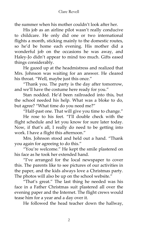the summer when his mother couldn't look after her.

His job as an airline pilot wasn't really conducive to childcare. He only did one or two international flights a month, sticking mainly to the domestic routes, so he'd be home each evening. His mother did a wonderful job on the occasions he was away, and Haley-Jo didn't appear to mind too much. Gifts eased things considerably.

He gazed up at the headmistress and realized that Mrs. Johnson was waiting for an answer. He cleared his throat. "Well, maybe just this once."

'Thank you. The party is the day after tomorrow, and we'll have the costume here ready for you.'

Stan nodded. He'd been railroaded into this, but the school needed his help. What was a bloke to do, but agree? "What time do you need me?"

"Half-past one. That will give you time to change."

He rose to his feet. 'I'll double check with the flight schedule and let you know for sure later today. Now, if that's all, I really do need to be getting into work. I have a flight this afternoon.'

Mrs. Johnson stood and held out a hand. 'Thank you again for agreeing to do this.'

'You're welcome.' He kept the smile plastered on his face as he took her extended hand.

'I've arranged for the local newspaper to cover this. The parents like to see pictures of our activities in the paper, and the kids always love a Christmas party. The photos will also be up on the school website."

'That's great.' The last thing he needed was his face in a Father Christmas suit plastered all over the evening paper and the Internet. The flight crews would tease him for a year and a day over it.

He followed the head teacher down the hallway,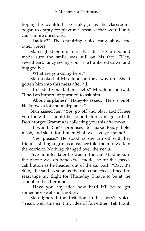hoping he wouldn't see Haley-Jo as the classrooms began to empty for playtime, because that would only cause more questions.

'Daddy?' The enquiring voice rang above the other voices.

Stan sighed. So much for that idea. He turned and made sure the smile was still on his face. 'Hey, sweetheart, fancy seeing you.' He hunkered down and hugged her.

'What are you doing here?'

Stan looked at Mrs. Johnson for a way out. She'd gotten him into this mess after all.

'I needed your father's help,' Mrs. Johnson said. 'I had an important question to ask him.'

'About airplanes?' Haley-Jo asked. 'He's a pilot. He knows a lot about airplanes.'

Stan kissed her. 'You go off and play, and I'll see you tonight. I should be home before you go to bed. Don't forget Gramma is collecting you this afternoon.'

'I won't. She's promised to make toady hole, mash, and sketti for dinner. Shall we save you some?'

'Yes, please.' He stood as she ran off with her friends, stifling a grin as a teacher told them to walk in the corridor. Nothing changed over the years.

Five minutes later he was in the car. Making sure the phone was on hands-free mode, he hit the speedcall button as he headed out of the car park. "Ray, it's Stan,' he said as soon as the call connected. 'I need to rearrange my flight for Thursday. I have to be at the school in the afternoon.'

'Have you any idea how hard it'll be to get someone else at short notice?'

Stan ignored the irritation in his boss's voice. 'Yeah, well, this isn't my idea of fun either. Tell Frank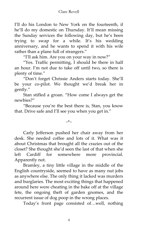I'll do his London to New York on the fourteenth, if he'll do my domestic on Thursday. It'll mean missing the Sunday services the following day, but he's been trying to swap for a while. It's his wedding anniversary, and he wants to spend it with his wife rather than a plane full of strangers."

'I'll ask him. Are you on your way in now?'

'Yes. Traffic permitting, I should be there in half an hour. I'm not due to take off until two, so there is plenty of time.'

'Don't forget Chrissie Anders starts today. She'll be your co-pilot. We thought we'd break her in gently.'

Stan stifled a groan. 'How come I always get the newbies?'

'Because you're the best there is, Stan, you know that. Drive safe and I'll see you when you get in."

 $\sim^*$ 

Carly Jefferson pushed her chair away from her desk. She needed coffee and lots of it. What was it about Christmas that brought all the crazies out of the closet? She thought she'd seen the last of that when she left Cardiff for somewhere more provincial. Apparently not.

Bramley, a tiny little village in the middle of the English countryside, seemed to have as many nut jobs as anywhere else. The only thing it lacked was murders and burglaries. The most exciting things that happened around here were cheating in the bake off at the village fete, the ongoing theft of garden gnomes, and the recurrent issue of dog poop in the wrong places.

Today's front page consisted of…well, nothing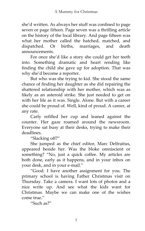she'd written. As always her stuff was confined to page seven or page fifteen. Page seven was a thrilling article on the history of the local library. And page fifteen was what her mother called the hatched, matched, and dispatched. Or births, marriages, and death announcements.

For once she'd like a story she could get her teeth into. Something dramatic and heart rending like finding the child she gave up for adoption. That was why she'd become a reporter.

But who was she trying to kid. She stood the same chance of finding her daughter as she did repairing the shattered relationship with her mother, which was as likely as an asteroid strike. She just needed to get on with her life as it was. Single. Alone. But with a career she could be proud of. Well, kind of proud. A career, at any rate.

Carly refilled her cup and leaned against the counter. Her gaze roamed around the newsroom. Everyone sat busy at their desks, trying to make their deadlines.

'Slacking off?'

She jumped as the chief editor, Marc Delfraitus, appeared beside her. Was the bloke omniscient or something? "No, just a quick coffee. My articles are both done, early as it happens, and in your inbox on your desk, and in your e-mail.'

'Good. I have another assignment for you. The primary school is having Father Christmas visit on Thursday. Take a camera. I want lots of photos and a nice write up. And see what the kids want for Christmas. Maybe we can make one of the wishes come true."

'Such as?'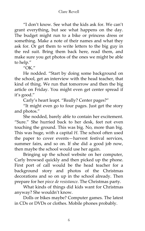'I don't know. See what the kids ask for. We can't grant everything, but see what happens on the day. The budget might run to a bike or princess dress or something. Make a note of their names and what they ask for. Or get them to write letters to the big guy in the red suit. Bring them back here, read them, and make sure you get photos of the ones we might be able to help.'

 $^{\prime\prime}$ OK $^{\prime\prime}$ 

He nodded. 'Start by doing some background on the school, get an interview with the head teacher, that kind of thing. We run that tomorrow and then the big article on Friday. You might even get center spread if it's good.'

Carly's heart leapt. "Really? Center pages?"

'It might even go to four pages. Just get the story and photos.'

She nodded, barely able to contain her excitement. 'Sure.' She hurried back to her desk, feet not even touching the ground. This was big. No, more than big. This was huge, with a capital *H*. The school often used the paper to cover events—harvest festival services, summer fairs, and so on. If she did a good job now, then maybe the school would use her again.

Bringing up the school website on her computer, Carly browsed quickly and then picked up the phone. First port of call would be the head teacher for a background story and photos of the Christmas decorations and so on up in the school already. Then prepare for her *piece de resistance*. The Christmas party.

What kinds of things did kids want for Christmas anyway? She wouldn't know.

Dolls or bikes maybe? Computer games. The latest in CDs or DVDs or clothes. Mobile phones probably.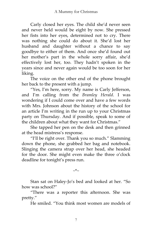Carly closed her eyes. The child she'd never seen and never held would be eight by now. She pressed her fists into her eyes, determined not to cry. There was nothing she could do about it. She'd lost her husband and daughter without a chance to say goodbye to either of them. And once she'd found out her mother's part in the whole sorry affair, she'd effectively lost her, too. They hadn't spoken in the years since and never again would be too soon for her liking.

The voice on the other end of the phone brought her back to the present with a jump.

'Yes, I'm here, sorry. My name is Carly Jefferson, and I'm calling from the *Bramley Herald*. I was wondering if I could come over and have a few words with Mrs. Johnson about the history of the school for an article I'm writing in the run up to your Christmas party on Thursday. And if possible, speak to some of the children about what they want for Christmas.'

She tapped her pen on the desk and then grinned at the head mistress's response.

'I'll be right over. Thank you so much.' Slamming down the phone, she grabbed her bag and notebook. Slinging the camera strap over her head, she headed for the door. She might even make the three o'clock deadline for tonight's press run.

Stan sat on Haley-Jo's bed and looked at her. 'So how was school?'

'There was a reporter this afternoon. She was pretty.'

He smiled. 'You think most women are models of

7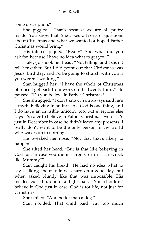some description.'

She giggled. 'That's because we are all pretty inside. You know that. She asked all sorts of questions about Christmas and what we wanted or hoped Father Christmas would bring.'

His interest piqued. 'Really? And what did you ask for, because I have no idea what to get you.'

Haley-Jo shook her head. 'Not telling, and I didn't tell her either. But I did point out that Christmas was Jesus' birthday, and I'd be going to church with you if you weren't working.'

Stan hugged her. 'I have the whole of Christmas off once I get back from work on the twenty-third.' He paused. 'Do you believe in Father Christmas?'

She shrugged. 'I don't know. You always said he's a myth. Believing in an invisible God is one thing, and I do have an invisible unicorn, too, but everyone else says it's safer to believe in Father Christmas even if it's just in December in case he didn't leave any presents. I really don't want to be the only person in the world who wakes up to nothing."

He tweaked her nose. 'Not that that's likely to happen.'

She tilted her head. 'But is that like believing in God just in case you die in surgery or in a car wreck like Mummy?'

Stan caught his breath. He had no idea what to say. Talking about Julie was hard on a good day, but when asked bluntly like that was impossible. His insides curled up into a tight ball. 'You shouldn't believe in God just in case. God is for life, not just for Christmas<sup>"</sup>

She smiled. "And better than a dog."

Stan nodded. That child paid way too much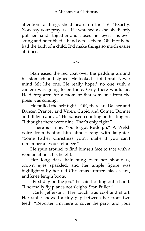attention to things she'd heard on the TV. 'Exactly. Now say your prayers.' He watched as she obediently put her hands together and closed her eyes. His eyes stung and he rubbed a hand across them. Oh, if only he had the faith of a child. It'd make things so much easier at times.

 $\sim^*$ 

Stan eased the red coat over the padding around his stomach and sighed. He looked a total prat. Never mind felt like one. He really hoped no one with a camera was going to be there. Only there would be. He'd forgotten for a moment that someone from the press was coming.

He pulled the belt tight. "OK, there are Dasher and Dancer, Prancer and Vixen, Cupid and Comet, Donner and Blitzen and….' He paused counting on his fingers. 'I thought there were nine. That's only eight.'

'There *are* nine. You forgot Rudolph.' A Welsh voice from behind him almost rang with laughter. 'Some Father Christmas you'll make if you can't remember all your reindeer.'

He spun around to find himself face to face with a woman almost his height.

Her long dark hair hung over her shoulders, brown eyes sparkled, and her ample figure was highlighted by her red Christmas jumper, black jeans, and knee length boots.

'First day on the job,' he said holding out a hand. 'I normally fly planes not sleighs. Stan Fuller.'

'Carly Jefferson.' Her touch was cool and short. Her smile showed a tiny gap between her front two teeth. 'Reporter. I'm here to cover the party and your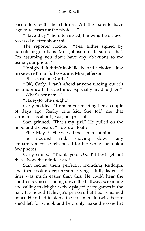encounters with the children. All the parents have signed releases for the photos—'

'Have they?' he interrupted, knowing he'd never received a letter about this.

The reporter nodded. 'Yes. Either signed by parents or guardians. Mrs. Johnson made sure of that. I'm assuming you don't have any objections to me using your photo?"

He sighed. It didn't look like he had a choice. 'Just make sure I'm in full costume, Miss Jefferson.'

'Please, call me Carly.'

'OK, Carly. I can't afford anyone finding out it's me underneath this costume. Especially my daughter.'

'What's her name?'

'Haley-Jo. She's eight.'

Carly nodded. 'I remember meeting her a couple of days ago. Really cute kid. She told me that Christmas is about Jesus, not presents.'

Stan grinned. 'That's my girl.' He pulled on the hood and the beard. "How do I look?"

'Fine. May I?' She waved the camera at him.

He nodded and, shoving down any embarrassment he felt, posed for her while she took a few photos.

Carly smiled. 'Thank you. OK. I'd best get out there. Now the reindeer are?"

Stan recited them perfectly, including Rudolph, and then took a deep breath. Flying a fully laden jet liner was much easier than this. He could hear the children's voices echoing down the hallway, screaming and calling in delight as they played party games in the hall. He hoped Haley-Jo's princess hat had remained intact. He'd had to staple the streamers in twice before she'd left for school, and he'd only make the cone hat